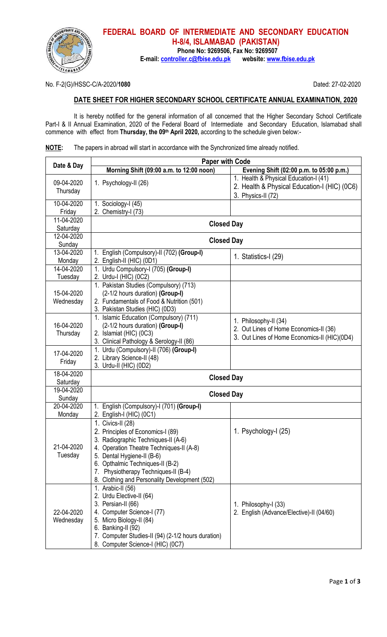

## **FEDERAL BOARD OF INTERMEDIATE AND SECONDARY EDUCATION H-8/4, ISLAMABAD (PAKISTAN) Phone No: 9269506, Fax No: 9269507**

E-mail: controller.c@fbise.edu.pk

No. F-2(G)/HSSC-C/A-2020/**1080** Dated: 27-02-2020

## **DATE SHEET FOR HIGHER SECONDARY SCHOOL CERTIFICATE ANNUAL EXAMINATION, 2020**

It is hereby notified for the general information of all concerned that the Higher Secondary School Certificate Part-I & II Annual Examination, 2020 of the Federal Board of Intermediate and Secondary Education, Islamabad shall commence with effect from **Thursday, the 09th April 2020,** according to the schedule given below:-

| <b>NOTE:</b> |  |  |  |  |  | The papers in abroad will start in accordance with the Synchronized time already notified. |  |
|--------------|--|--|--|--|--|--------------------------------------------------------------------------------------------|--|
|--------------|--|--|--|--|--|--------------------------------------------------------------------------------------------|--|

|                         | <b>Paper with Code</b>                                                        |                                                                 |  |  |
|-------------------------|-------------------------------------------------------------------------------|-----------------------------------------------------------------|--|--|
| Date & Day              | Morning Shift (09:00 a.m. to 12:00 noon)                                      | Evening Shift (02:00 p.m. to 05:00 p.m.)                        |  |  |
| 09-04-2020              | 1. Psychology-II (26)                                                         | 1. Health & Physical Education-I (41)                           |  |  |
| Thursday                |                                                                               | 2. Health & Physical Education-I (HIC) (0C6)                    |  |  |
|                         |                                                                               | 3. Physics-II (72)                                              |  |  |
| 10-04-2020              | 1. Sociology-I (45)                                                           |                                                                 |  |  |
| Friday<br>11-04-2020    | 2. Chemistry-I (73)                                                           |                                                                 |  |  |
| Saturday                | <b>Closed Day</b>                                                             |                                                                 |  |  |
| 12-04-2020              |                                                                               |                                                                 |  |  |
| Sunday                  | <b>Closed Day</b>                                                             |                                                                 |  |  |
| 13-04-2020              | 1. English (Compulsory)-II (702) (Group-I)                                    |                                                                 |  |  |
| Monday                  | 2. English-II (HIC) (0D1)                                                     | 1. Statistics-I (29)                                            |  |  |
| 14-04-2020              | 1. Urdu Compulsory-I (705) (Group-I)                                          |                                                                 |  |  |
| Tuesday                 | 2. Urdu-I (HIC) (0C2)                                                         |                                                                 |  |  |
|                         | 1. Pakistan Studies (Compulsory) (713)                                        |                                                                 |  |  |
| 15-04-2020<br>Wednesday | (2-1/2 hours duration) (Group-I)<br>2. Fundamentals of Food & Nutrition (501) |                                                                 |  |  |
|                         | 3. Pakistan Studies (HIC) (0D3)                                               |                                                                 |  |  |
|                         | 1. Islamic Education (Compulsory) (711)                                       |                                                                 |  |  |
| 16-04-2020              | (2-1/2 hours duration) (Group-I)                                              | 1. Philosophy-II (34)<br>2. Out Lines of Home Economics-II (36) |  |  |
| Thursday                | 2. Islamiat (HIC) (0C3)                                                       | 3. Out Lines of Home Economics-II (HIC)(0D4)                    |  |  |
|                         | 3. Clinical Pathology & Serology-II (86)                                      |                                                                 |  |  |
| 17-04-2020              | 1. Urdu (Compulsory)-II (706) (Group-I)                                       |                                                                 |  |  |
| Friday                  | 2. Library Science-II (48)<br>3. Urdu-II (HIC) (0D2)                          |                                                                 |  |  |
| 18-04-2020              |                                                                               |                                                                 |  |  |
| Saturday                | <b>Closed Day</b>                                                             |                                                                 |  |  |
| 19-04-2020              | <b>Closed Day</b>                                                             |                                                                 |  |  |
| Sunday                  |                                                                               |                                                                 |  |  |
| 20-04-2020              | 1. English (Compulsory)-I (701) (Group-I)                                     |                                                                 |  |  |
| Monday                  | 2. English-I (HIC) (0C1)                                                      |                                                                 |  |  |
|                         | 1. Civics-II (28)<br>2. Principles of Economics-I (89)                        | 1. Psychology-I (25)                                            |  |  |
|                         | 3. Radiographic Techniques-II (A-6)                                           |                                                                 |  |  |
| 21-04-2020              | 4. Operation Theatre Techniques-II (A-8)                                      |                                                                 |  |  |
| Tuesday                 | 5. Dental Hygiene-II (B-6)                                                    |                                                                 |  |  |
|                         | 6. Opthalmic Techniques-II (B-2)                                              |                                                                 |  |  |
|                         | Physiotherapy Techniques-II (B-4)<br>7.                                       |                                                                 |  |  |
|                         | 8. Clothing and Personality Development (502)                                 |                                                                 |  |  |
|                         | 1. Arabic-II (56)                                                             |                                                                 |  |  |
| 22-04-2020<br>Wednesday | 2. Urdu Elective-II (64)<br>3. Persian-II (66)                                | 1. Philosophy-I (33)                                            |  |  |
|                         | 4. Computer Science-I (77)                                                    | 2. English (Advance/Elective)-II (04/60)                        |  |  |
|                         | 5. Micro Biology-II (84)                                                      |                                                                 |  |  |
|                         | 6. Banking-II (92)                                                            |                                                                 |  |  |
|                         | 7. Computer Studies-II (94) (2-1/2 hours duration)                            |                                                                 |  |  |
|                         | 8. Computer Science-I (HIC) (0C7)                                             |                                                                 |  |  |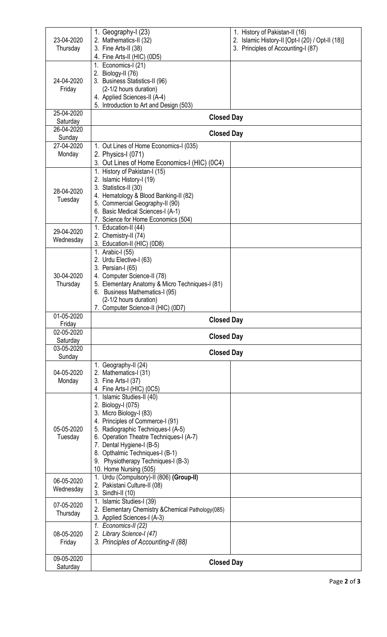| 23-04-2020<br>Thursday  | 1. Geography-I (23)<br>2. Mathematics-II (32)<br>3. Fine Arts-II (38)<br>4. Fine Arts-II (HIC) (0D5)                                                                                                                                                                                                                              | 1. History of Pakistan-II (16)<br>2. Islamic History-II [Opt-I (20) / Opt-II (18)]<br>3. Principles of Accounting-I (87) |  |
|-------------------------|-----------------------------------------------------------------------------------------------------------------------------------------------------------------------------------------------------------------------------------------------------------------------------------------------------------------------------------|--------------------------------------------------------------------------------------------------------------------------|--|
| 24-04-2020<br>Friday    | 1. Economics-I (21)<br>2. Biology-II (76)<br>3. Business Statistics-II (96)<br>(2-1/2 hours duration)<br>4. Applied Sciences-II (A-4)<br>5. Introduction to Art and Design (503)                                                                                                                                                  |                                                                                                                          |  |
| 25-04-2020<br>Saturday  | <b>Closed Day</b>                                                                                                                                                                                                                                                                                                                 |                                                                                                                          |  |
| 26-04-2020<br>Sunday    | <b>Closed Day</b>                                                                                                                                                                                                                                                                                                                 |                                                                                                                          |  |
| 27-04-2020<br>Monday    | 1. Out Lines of Home Economics-I (035)<br>2. Physics-I (071)<br>3. Out Lines of Home Economics-I (HIC) (0C4)                                                                                                                                                                                                                      |                                                                                                                          |  |
| 28-04-2020<br>Tuesday   | 1. History of Pakistan-I (15)<br>2. Islamic History-I (19)<br>3. Statistics-II (30)<br>4. Hematology & Blood Banking-II (82)<br>5. Commercial Geography-II (90)<br>6. Basic Medical Sciences-I (A-1)<br>7. Science for Home Economics (504)                                                                                       |                                                                                                                          |  |
| 29-04-2020<br>Wednesday | 1. Education-II (44)<br>2. Chemistry-II (74)<br>3. Education-II (HIC) (0D8)                                                                                                                                                                                                                                                       |                                                                                                                          |  |
| 30-04-2020<br>Thursday  | 1. Arabic-I (55)<br>2. Urdu Elective-I (63)<br>3. Persian-I (65)<br>4. Computer Science-II (78)<br>5. Elementary Anatomy & Micro Techniques-I (81)<br>6. Business Mathematics-I (95)<br>(2-1/2 hours duration)<br>7. Computer Science-II (HIC) (0D7)                                                                              |                                                                                                                          |  |
| 01-05-2020<br>Friday    | <b>Closed Day</b>                                                                                                                                                                                                                                                                                                                 |                                                                                                                          |  |
| 02-05-2020<br>Saturday  | <b>Closed Day</b>                                                                                                                                                                                                                                                                                                                 |                                                                                                                          |  |
| 03-05-2020<br>Sunday    | <b>Closed Day</b>                                                                                                                                                                                                                                                                                                                 |                                                                                                                          |  |
| 04-05-2020<br>Monday    | 1. Geography-II (24)<br>2. Mathematics-I (31)<br>3. Fine Arts-I (37)<br>4 Fine Arts-I (HIC) (0C5)                                                                                                                                                                                                                                 |                                                                                                                          |  |
| 05-05-2020<br>Tuesday   | 1. Islamic Studies-II (40)<br>2. Biology-I (075)<br>3. Micro Biology-I (83)<br>4. Principles of Commerce-I (91)<br>5. Radiographic Techniques-I (A-5)<br>6. Operation Theatre Techniques-I (A-7)<br>7. Dental Hygiene-I (B-5)<br>8. Opthalmic Techniques-I (B-1)<br>9. Physiotherapy Techniques-I (B-3)<br>10. Home Nursing (505) |                                                                                                                          |  |
| 06-05-2020<br>Wednesday | 1. Urdu (Compulsory)-II (806) (Group-II)<br>2. Pakistani Culture-II (08)<br>3. Sindhi-II (10)                                                                                                                                                                                                                                     |                                                                                                                          |  |
| 07-05-2020<br>Thursday  | 1. Islamic Studies-I (39)<br>2. Elementary Chemistry & Chemical Pathology (085)<br>3. Applied Sciences-I (A-3)                                                                                                                                                                                                                    |                                                                                                                          |  |
| 08-05-2020<br>Friday    | 1. Economics-II (22)<br>2. Library Science-I (47)<br>3. Principles of Accounting-II (88)                                                                                                                                                                                                                                          |                                                                                                                          |  |
| 09-05-2020<br>Saturday  | <b>Closed Day</b>                                                                                                                                                                                                                                                                                                                 |                                                                                                                          |  |